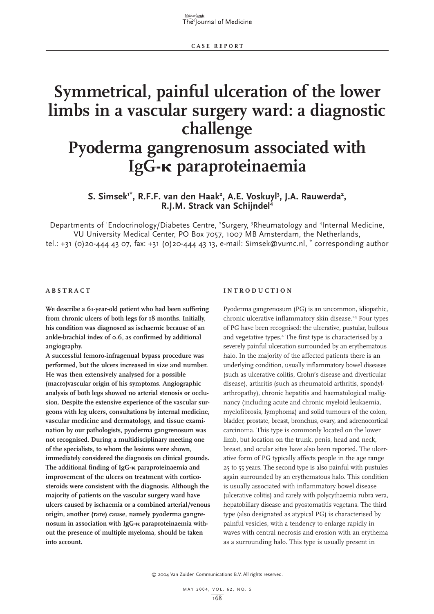Netherlands The Journal of Medicine

# **Symmetrical, painful ulceration of the lower limbs in a vascular surgery ward: a diagnostic challenge Pyoderma gangrenosum associated with IgG-**- **paraproteinaemia**

# S. Simsek<sup>1\*</sup>, R.F.F. van den Haak<sup>2</sup>, A.E. Voskuyl<sup>3</sup>, J.A. Rauwerda<sup>2</sup>,<br>R.J.M. Strack van Schijndel<sup>4</sup>

Departments of 'Endocrinology/Diabetes Centre, <sup>2</sup>Surgery, <sup>3</sup>Rheumatology and <sup>4</sup>Internal Medicine, VU University Medical Center, PO Box 7057, 1007 MB Amsterdam, the Netherlands, tel.: +31 (0)20-444 43 07, fax: +31 (0)20-444 43 13, e-mail: Simsek@vumc.nl, \* corresponding author

# **ABSTRACT**

**We describe a 61-year-old patient who had been suffering from chronic ulcers of both legs for 18 months. Initially, his condition was diagnosed as ischaemic because of an ankle-brachial index of 0.6, as confirmed by additional angiography.** 

**A successful femoro-infragenual bypass procedure was performed, but the ulcers increased in size and number. He was then extensively analysed for a possible (macro)vascular origin of his symptoms. Angiographic analysis of both legs showed no arterial stenosis or occlusion. Despite the extensive experience of the vascular surgeons with leg ulcers, consultations by internal medicine, vascular medicine and dermatology, and tissue examination by our pathologists, pyoderma gangrenosum was not recognised. During a multidisciplinary meeting one of the specialists, to whom the lesions were shown, immediately considered the diagnosis on clinical grounds. The additional finding of IgG-**- **paraproteinaemia and improvement of the ulcers on treatment with corticosteroids were consistent with the diagnosis. Although the majority of patients on the vascular surgery ward have ulcers caused by ischaemia or a combined arterial/venous origin, another (rare) cause, namely pyoderma gangrenosum in association with IgG-**- **paraproteinaemia without the presence of multiple myeloma, should be taken into account.** 

## **INTRODUCTION**

Pyoderma gangrenosum (PG) is an uncommon, idiopathic, chronic ulcerative inflammatory skin disease.<sup>1-5</sup> Four types of PG have been recognised: the ulcerative, pustular, bullous and vegetative types.4 The first type is characterised by a severely painful ulceration surrounded by an erythematous halo. In the majority of the affected patients there is an underlying condition, usually inflammatory bowel diseases (such as ulcerative colitis, Crohn's disease and diverticular disease), arthritis (such as rheumatoid arthritis, spondylarthropathy), chronic hepatitis and haematological malignancy (including acute and chronic myeloid leukaemia, myelofibrosis, lymphoma) and solid tumours of the colon, bladder, prostate, breast, bronchus, ovary, and adrenocortical carcinoma. This type is commonly located on the lower limb, but location on the trunk, penis, head and neck, breast, and ocular sites have also been reported. The ulcerative form of PG typically affects people in the age range 25 to 55 years. The second type is also painful with pustules again surrounded by an erythematous halo. This condition is usually associated with inflammatory bowel disease (ulcerative colitis) and rarely with polycythaemia rubra vera, hepatobiliary disease and pyostomatitis vegetans. The third type (also designated as atypical PG) is characterised by painful vesicles, with a tendency to enlarge rapidly in waves with central necrosis and erosion with an erythema as a surrounding halo. This type is usually present in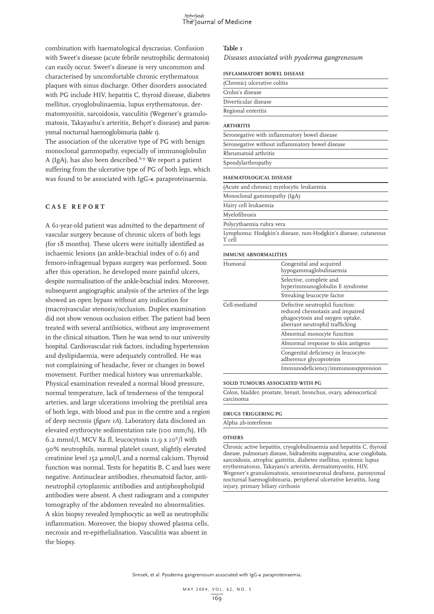combination with haematological dyscrasias. Confusion with Sweet's disease (acute febrile neutrophilic dermatosis) can easily occur. Sweet's disease is very uncommon and characterised by uncomfortable chronic erythematous plaques with sinus discharge. Other disorders associated with PG include HIV, hepatitis C, thyroid disease, diabetes mellitus, cryoglobulinaemia, lupus erythematosus, dermatomyositis, sarcoidosis, vasculitis (Wegener's granulomatosis, Takayashu's arteritis, Behçet's disease) and paroxysmal nocturnal haemoglobinuria (*table 1*).

The association of the ulcerative type of PG with benign monoclonal gammopathy, especially of immunoglobulin A (IgA), has also been described.<sup>6-9</sup> We report a patient suffering from the ulcerative type of PG of both legs, which was found to be associated with IgG-K paraproteinaemia.

# **CASE REPORT**

A 61-year-old patient was admitted to the department of vascular surgery because of chronic ulcers of both legs (for 18 months). These ulcers were initially identified as ischaemic lesions (an ankle-brachial index of 0.6) and femoro-infragenual bypass surgery was performed. Soon after this operation, he developed more painful ulcers, despite normalisation of the ankle-brachial index. Moreover, subsequent angiographic analysis of the arteries of the legs showed an open bypass without any indication for (macro)vascular stenosis/occlusion. Duplex examination did not show venous occlusion either. The patient had been treated with several antibiotics, without any improvement in the clinical situation. Then he was send to our university hospital. Cardiovascular risk factors, including hypertension and dyslipidaemia, were adequately controlled. He was not complaining of headache, fever or changes in bowel movement. Further medical history was unremarkable. Physical examination revealed a normal blood pressure, normal temperature, lack of tenderness of the temporal arteries, and large ulcerations involving the pretibial area of both legs, with blood and pus in the centre and a region of deep necrosis (*figure 1A*). Laboratory data disclosed an elevated erythrocyte sedimentation rate (100 mm/h), Hb 6.2 mmol/l, MCV 82 fl, leucocytosis 11.9 x 10 $9/1$  with 90% neutrophils, normal platelet count, slightly elevated creatinine level  $152 \mu$ mol/l, and a normal calcium. Thyroid function was normal. Tests for hepatitis B, C and lues were negative. Antinuclear antibodies, rheumatoid factor, antineutrophil cytoplasmic antibodies and antiphospholipid antibodies were absent. A chest radiogram and a computer tomography of the abdomen revealed no abnormalities. A skin biopsy revealed lymphocytic as well as neutrophilic inflammation. Moreover, the biopsy showed plasma cells, necrosis and re-epithelialisation. Vasculitis was absent in the biopsy.

## **Table 1**

*Diseases associated with pyoderma gangrenosum*

#### **INFLAMMATORY BOWEL DISEASE**

| (Chronic) ulcerative colitis                    |
|-------------------------------------------------|
| Crohn's disease                                 |
| Diverticular disease                            |
| Regional enteritis                              |
| <b>ARTHRITIS</b>                                |
| Seronegative with inflammatory bowel disease    |
| Seronegative without inflammatory bowel disease |
| Rheumatoid arthritis                            |
| Spondylarthropathy                              |
|                                                 |

# **HAEMATOLOGICAL DISEASE**

|                             | (Acute and chronic) myelocytic leukaemia                      |
|-----------------------------|---------------------------------------------------------------|
| Monoclonal gammopathy (IgA) |                                                               |
| Hairy cell leukaemia        |                                                               |
| Myelofibrosis               |                                                               |
| Polycythaemia rubra vera    |                                                               |
| T cell                      | Lymphoma: Hodgkin's disease, non-Hodgkin's disease, cutaneous |
| <b>IMMUNE ABNORMALITIES</b> |                                                               |
| Humoral                     | Congenital and acquired<br>hypogammaglobulingemia             |

| пиномаг       | Congennal and acquired<br>hypogammaglobulinaemia                                                                                        |
|---------------|-----------------------------------------------------------------------------------------------------------------------------------------|
|               | Selective, complete and<br>hyperimmunoglobulin E syndrome                                                                               |
|               | Streaking leucocyte factor                                                                                                              |
| Cell-mediated | Defective neutrophil function:<br>reduced chemotaxis and impaired<br>phagocytosis and oxygen uptake,<br>aberrant neutrophil trafficking |
|               | Abnormal monocyte function                                                                                                              |
|               | Abnormal response to skin antigens                                                                                                      |
|               | Congenital deficiency in leucocyte-<br>adherence glycoproteins                                                                          |
|               | Immunodeficiency/immunosuppression                                                                                                      |

# **SOLID TUMOURS ASSOCIATED WITH PG**

Colon, bladder, prostate, breast, bronchus, ovary, adenocortical carcinoma

#### **DRUGS TRIGGERING PG**

Alpha 2b-interferon

#### **OTHERS**

Chronic active hepatitis, cryoglobulinaemia and hepatitis C, thyroid disease, pulmonary disease, hidradenitis suppurativa, acne conglobata, sarcoidosis, atrophic gastritis, diabetes mellitus, systemic lupus erythematosus, Takayasu's arteritis, dermatomyositis, HIV, Wegener's granulomatosis, sensorineuronal deafness, paroxysmal nocturnal haemoglobinuria, peripheral ulcerative keratitis, lung injury, primary biliary cirrhosis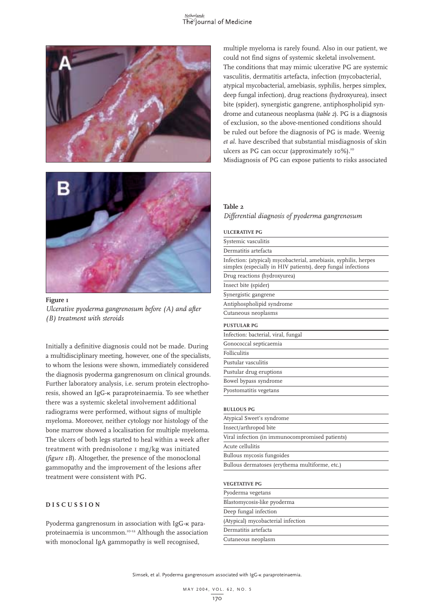# Netherlands<br>The Journal of Medicine





**Figure 1** *Ulcerative pyoderma gangrenosum before (A) and after (B) treatment with steroids*

Initially a definitive diagnosis could not be made. During a multidisciplinary meeting, however, one of the specialists, to whom the lesions were shown, immediately considered the diagnosis pyoderma gangrenosum on clinical grounds. Further laboratory analysis, i.e. serum protein electrophoresis, showed an IgG-к paraproteinaemia. To see whether there was a systemic skeletal involvement additional radiograms were performed, without signs of multiple myeloma. Moreover, neither cytology nor histology of the bone marrow showed a localisation for multiple myeloma. The ulcers of both legs started to heal within a week after treatment with prednisolone 1 mg/kg was initiated (*figure 1B*). Altogether, the presence of the monoclonal gammopathy and the improvement of the lesions after treatment were consistent with PG.

# **DISCUSSION**

Pyoderma gangrenosum in association with IgG-K paraproteinaemia is uncommon.<sup>10-12</sup> Although the association with monoclonal IgA gammopathy is well recognised,

multiple myeloma is rarely found. Also in our patient, we could not find signs of systemic skeletal involvement. The conditions that may mimic ulcerative PG are systemic vasculitis, dermatitis artefacta, infection (mycobacterial, atypical mycobacterial, amebiasis, syphilis, herpes simplex, deep fungal infection), drug reactions (hydroxyurea), insect bite (spider), synergistic gangrene, antiphospholipid syndrome and cutaneous neoplasma (*table 2*). PG is a diagnosis of exclusion, so the above-mentioned conditions should be ruled out before the diagnosis of PG is made. Weenig *et al.* have described that substantial misdiagnosis of skin ulcers as PG can occur (approximately 10%).<sup>10</sup> Misdiagnosis of PG can expose patients to risks associated

# **Table 2**

*Differential diagnosis of pyoderma gangrenosum*

# **ULCERATIVE PG**

| Systemic vasculitis                                                                                                              |
|----------------------------------------------------------------------------------------------------------------------------------|
| Dermatitis artefacta                                                                                                             |
| Infection: (atypical) mycobacterial, amebiasis, syphilis, herpes<br>simplex (especially in HIV patients), deep fungal infections |
| Drug reactions (hydroxyurea)                                                                                                     |
| Insect bite (spider)                                                                                                             |
| Synergistic gangrene                                                                                                             |
| Antiphospholipid syndrome                                                                                                        |
| Cutaneous neoplasms                                                                                                              |
| <b>PUSTULAR PG</b>                                                                                                               |
| Infection: bacterial, viral, fungal                                                                                              |
| Gonococcal septicaemia                                                                                                           |
| Folliculitis                                                                                                                     |
| Pustular vasculitis                                                                                                              |
| Pustular drug eruptions                                                                                                          |
| Bowel bypass syndrome                                                                                                            |
| Pyostomatitis vegetans                                                                                                           |
| <b>BULLOUS PG</b>                                                                                                                |
| Atypical Sweet's syndrome                                                                                                        |
| Insect/arthropod bite                                                                                                            |
| Viral infection (in immunocompromised patients)                                                                                  |
| Acute cellulitis                                                                                                                 |
| Bullous mycosis fungoides                                                                                                        |
| Bullous dermatoses (erythema multiforme, etc.)                                                                                   |
|                                                                                                                                  |

# **VEGETATIVE PG**

| Pyoderma vegetans                  |
|------------------------------------|
| Blastomycosis-like pyoderma        |
| Deep fungal infection              |
| (Atypical) mycobacterial infection |
| Dermatitis artefacta               |
| Cutaneous neoplasm                 |